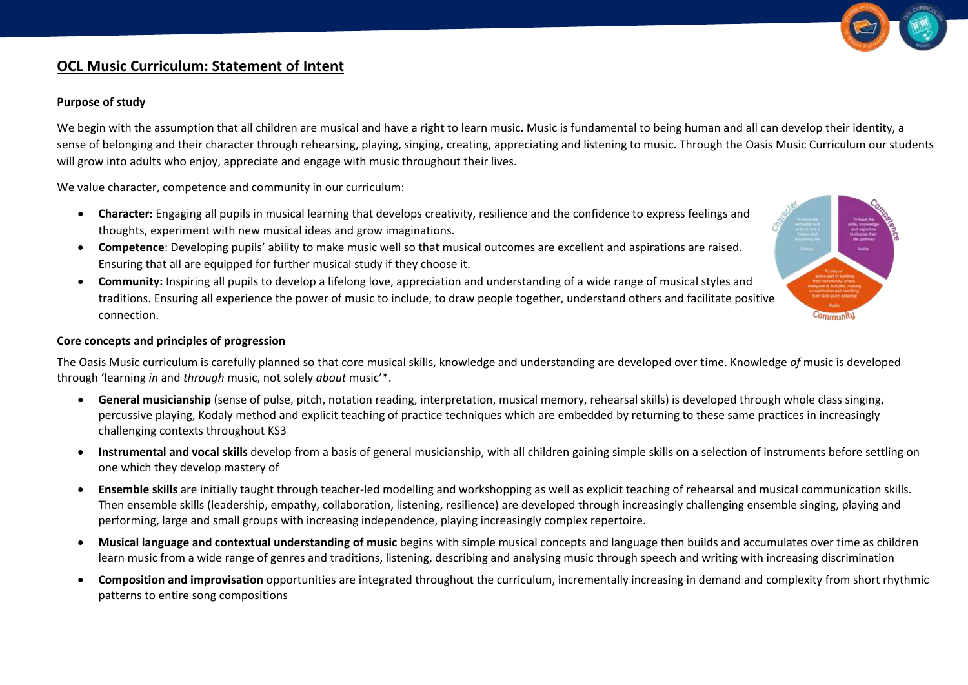

# **OCL Music Curriculum: Statement of Intent**

### **Purpose of study**

We begin with the assumption that all children are musical and have a right to learn music. Music is fundamental to being human and all can develop their identity, a sense of belonging and their character through rehearsing, playing, singing, creating, appreciating and listening to music. Through the Oasis Music Curriculum our students will grow into adults who enjoy, appreciate and engage with music throughout their lives.

We value character, competence and community in our curriculum:

- **Character:** Engaging all pupils in musical learning that develops creativity, resilience and the confidence to express feelings and thoughts, experiment with new musical ideas and grow imaginations.
- **Competence**: Developing pupils' ability to make music well so that musical outcomes are excellent and aspirations are raised. Ensuring that all are equipped for further musical study if they choose it.
- **Community:** Inspiring all pupils to develop a lifelong love, appreciation and understanding of a wide range of musical styles and traditions. Ensuring all experience the power of music to include, to draw people together, understand others and facilitate positive connection.



#### **Core concepts and principles of progression**

The Oasis Music curriculum is carefully planned so that core musical skills, knowledge and understanding are developed over time. Knowledge *of* music is developed through 'learning *in* and *through* music, not solely *about* music'\*.

- **General musicianship** (sense of pulse, pitch, notation reading, interpretation, musical memory, rehearsal skills) is developed through whole class singing, percussive playing, Kodaly method and explicit teaching of practice techniques which are embedded by returning to these same practices in increasingly challenging contexts throughout KS3
- **Instrumental and vocal skills** develop from a basis of general musicianship, with all children gaining simple skills on a selection of instruments before settling on one which they develop mastery of
- **Ensemble skills** are initially taught through teacher-led modelling and workshopping as well as explicit teaching of rehearsal and musical communication skills. Then ensemble skills (leadership, empathy, collaboration, listening, resilience) are developed through increasingly challenging ensemble singing, playing and performing, large and small groups with increasing independence, playing increasingly complex repertoire.
- Musical language and contextual understanding of music begins with simple musical concepts and language then builds and accumulates over time as children learn music from a wide range of genres and traditions, listening, describing and analysing music through speech and writing with increasing discrimination
- **Composition and improvisation** opportunities are integrated throughout the curriculum, incrementally increasing in demand and complexity from short rhythmic patterns to entire song compositions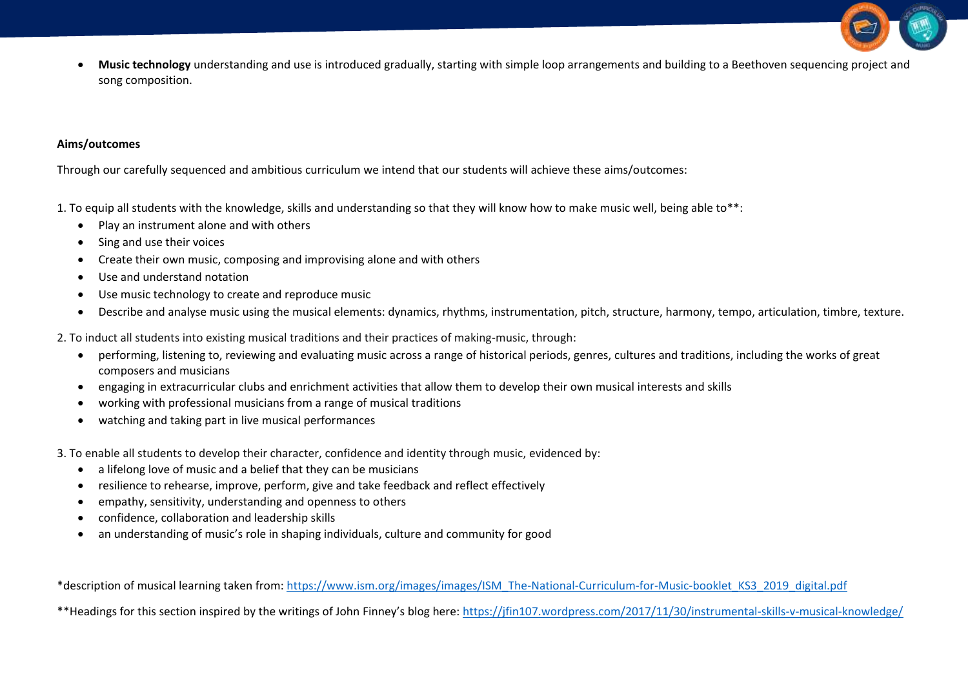

 **Music technology** understanding and use is introduced gradually, starting with simple loop arrangements and building to a Beethoven sequencing project and song composition.

### **Aims/outcomes**

Through our carefully sequenced and ambitious curriculum we intend that our students will achieve these aims/outcomes:

1. To equip all students with the knowledge, skills and understanding so that they will know how to make music well, being able to\*\*:

- Play an instrument alone and with others
- Sing and use their voices
- Create their own music, composing and improvising alone and with others
- Use and understand notation
- Use music technology to create and reproduce music
- Describe and analyse music using the musical elements: dynamics, rhythms, instrumentation, pitch, structure, harmony, tempo, articulation, timbre, texture.

2. To induct all students into existing musical traditions and their practices of making-music, through:

- performing, listening to, reviewing and evaluating music across a range of historical periods, genres, cultures and traditions, including the works of great composers and musicians
- engaging in extracurricular clubs and enrichment activities that allow them to develop their own musical interests and skills
- working with professional musicians from a range of musical traditions
- watching and taking part in live musical performances

3. To enable all students to develop their character, confidence and identity through music, evidenced by:

- a lifelong love of music and a belief that they can be musicians
- resilience to rehearse, improve, perform, give and take feedback and reflect effectively
- empathy, sensitivity, understanding and openness to others
- confidence, collaboration and leadership skills
- an understanding of music's role in shaping individuals, culture and community for good

\*description of musical learning taken from: [https://www.ism.org/images/images/ISM\\_The-National-Curriculum-for-Music-booklet\\_KS3\\_2019\\_digital.pdf](https://www.ism.org/images/images/ISM_The-National-Curriculum-for-Music-booklet_KS3_2019_digital.pdf)

\*\*Headings for this section inspired by the writings of John Finney's blog here:<https://jfin107.wordpress.com/2017/11/30/instrumental-skills-v-musical-knowledge/>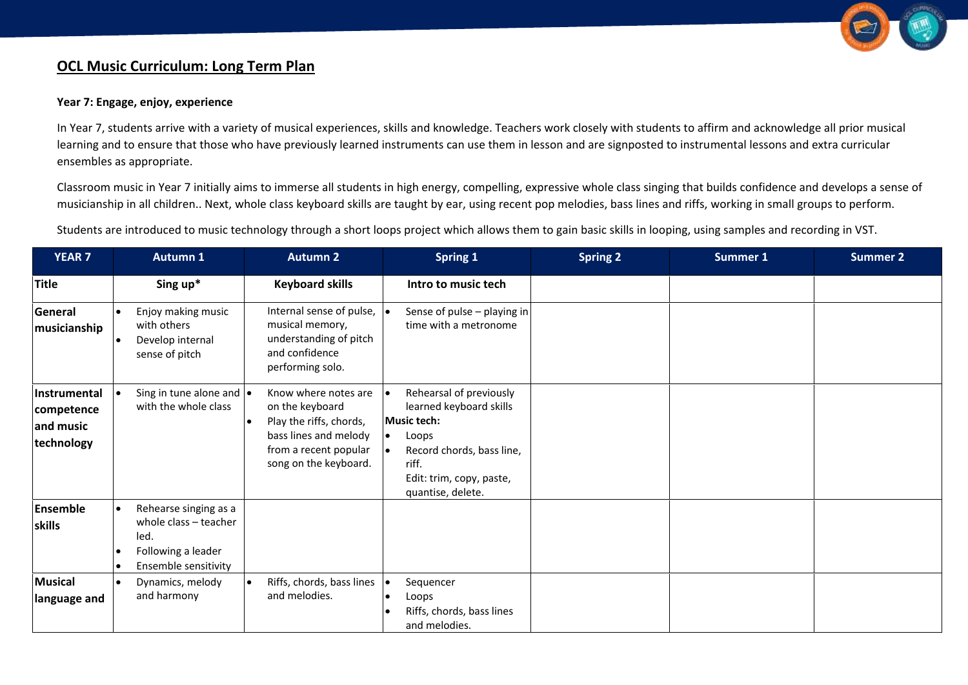

# **OCL Music Curriculum: Long Term Plan**

### **Year 7: Engage, enjoy, experience**

In Year 7, students arrive with a variety of musical experiences, skills and knowledge. Teachers work closely with students to affirm and acknowledge all prior musical learning and to ensure that those who have previously learned instruments can use them in lesson and are signposted to instrumental lessons and extra curricular ensembles as appropriate.

Classroom music in Year 7 initially aims to immerse all students in high energy, compelling, expressive whole class singing that builds confidence and develops a sense of musicianship in all children.. Next, whole class keyboard skills are taught by ear, using recent pop melodies, bass lines and riffs, working in small groups to perform.

Students are introduced to music technology through a short loops project which allows them to gain basic skills in looping, using samples and recording in VST.

| <b>YEAR 7</b>                                                | <b>Autumn 1</b>                                                                                      | <b>Autumn 2</b>                                                                                                                               | Spring 1                                                                                                                                                                        | <b>Spring 2</b> | Summer 1 | <b>Summer 2</b> |
|--------------------------------------------------------------|------------------------------------------------------------------------------------------------------|-----------------------------------------------------------------------------------------------------------------------------------------------|---------------------------------------------------------------------------------------------------------------------------------------------------------------------------------|-----------------|----------|-----------------|
| <b>Title</b>                                                 | Sing up*                                                                                             | <b>Keyboard skills</b>                                                                                                                        | Intro to music tech                                                                                                                                                             |                 |          |                 |
| General<br>musicianship                                      | Enjoy making music<br>with others<br>Develop internal<br>sense of pitch                              | Internal sense of pulse,<br>musical memory,<br>understanding of pitch<br>and confidence<br>performing solo.                                   | Sense of pulse $-$ playing in<br>time with a metronome                                                                                                                          |                 |          |                 |
| <b>Instrumental</b><br>competence<br>and music<br>technology | Sing in tune alone and $\bullet$<br>with the whole class                                             | Know where notes are<br>on the keyboard<br>Play the riffs, chords,<br>bass lines and melody<br>from a recent popular<br>song on the keyboard. | Rehearsal of previously<br>learned keyboard skills<br><b>Music tech:</b><br>Loops<br>l o<br>Record chords, bass line,<br>riff.<br>Edit: trim, copy, paste,<br>quantise, delete. |                 |          |                 |
| Ensemble<br>skills                                           | Rehearse singing as a<br>whole class - teacher<br>led.<br>Following a leader<br>Ensemble sensitivity |                                                                                                                                               |                                                                                                                                                                                 |                 |          |                 |
| <b>Musical</b><br>language and                               | Dynamics, melody<br>$\bullet$<br>and harmony                                                         | Riffs, chords, bass lines<br>and melodies.                                                                                                    | Sequencer<br>∣•<br>Loops<br>Riffs, chords, bass lines<br>and melodies.                                                                                                          |                 |          |                 |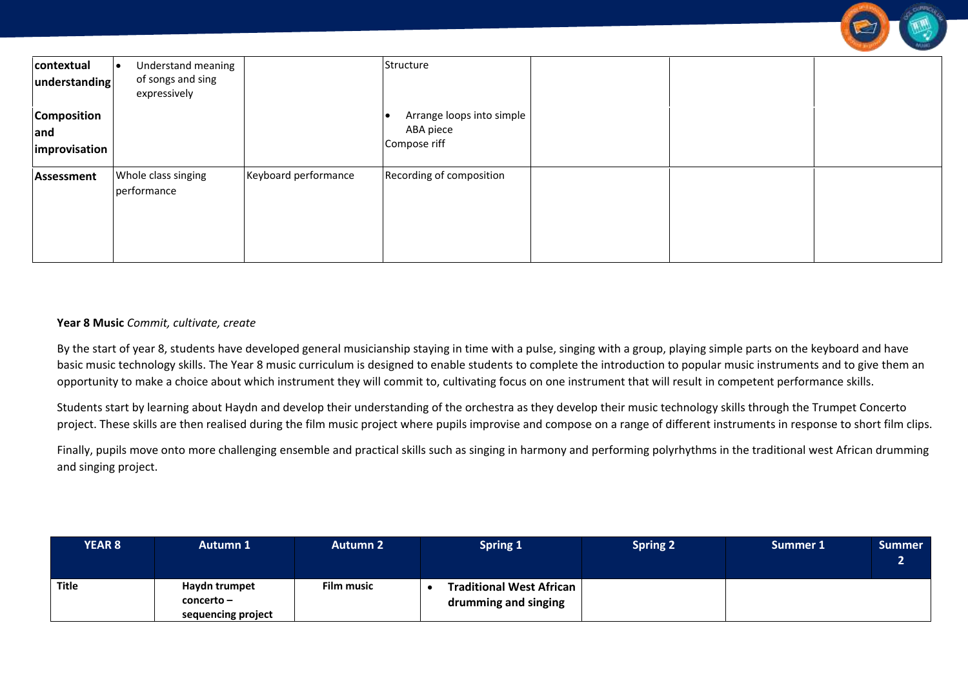|                             |                                                         |                      |                           |  | $-10100$ |
|-----------------------------|---------------------------------------------------------|----------------------|---------------------------|--|----------|
| contextual<br>understanding | Understand meaning<br>of songs and sing<br>expressively |                      | Structure                 |  |          |
| <b>Composition</b>          |                                                         |                      | Arrange loops into simple |  |          |
| and                         |                                                         |                      | ABA piece                 |  |          |
| improvisation               |                                                         |                      | Compose riff              |  |          |
| Assessment                  | Whole class singing<br>performance                      | Keyboard performance | Recording of composition  |  |          |
|                             |                                                         |                      |                           |  |          |

### **Year 8 Music** *Commit, cultivate, create*

By the start of year 8, students have developed general musicianship staying in time with a pulse, singing with a group, playing simple parts on the keyboard and have basic music technology skills. The Year 8 music curriculum is designed to enable students to complete the introduction to popular music instruments and to give them an opportunity to make a choice about which instrument they will commit to, cultivating focus on one instrument that will result in competent performance skills.

Students start by learning about Haydn and develop their understanding of the orchestra as they develop their music technology skills through the Trumpet Concerto project. These skills are then realised during the film music project where pupils improvise and compose on a range of different instruments in response to short film clips.

Finally, pupils move onto more challenging ensemble and practical skills such as singing in harmony and performing polyrhythms in the traditional west African drumming and singing project.

| <b>YEAR 8</b> | <b>Autumn 1</b>                                   | <b>Autumn 2</b>   | <b>Spring 1</b>                                         | <b>Spring 2</b> | Summer 1 | Summer |
|---------------|---------------------------------------------------|-------------------|---------------------------------------------------------|-----------------|----------|--------|
| Title         | Haydn trumpet<br>concerto –<br>sequencing project | <b>Film music</b> | <b>Traditional West African</b><br>drumming and singing |                 |          |        |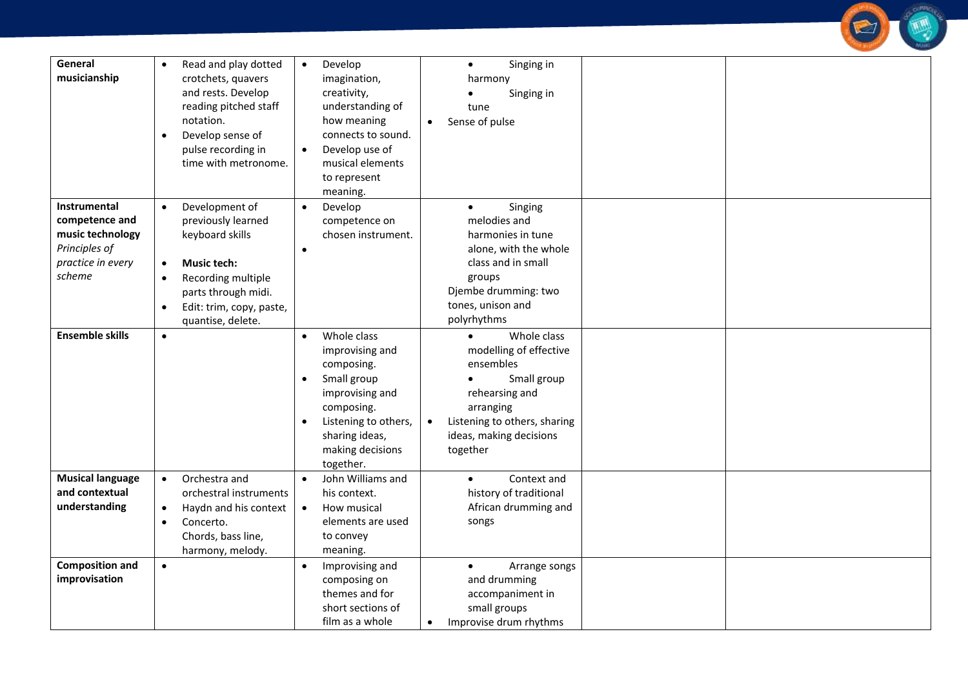

| General<br>musicianship                                                                            | Read and play dotted<br>$\bullet$<br>crotchets, quavers<br>and rests. Develop<br>reading pitched staff<br>notation.<br>Develop sense of<br>$\bullet$<br>pulse recording in<br>time with metronome. | Develop<br>$\bullet$<br>imagination,<br>creativity,<br>understanding of<br>how meaning<br>connects to sound.<br>Develop use of<br>$\bullet$<br>musical elements<br>to represent | Singing in<br>$\bullet$<br>harmony<br>Singing in<br>tune<br>Sense of pulse                                                                  |  |
|----------------------------------------------------------------------------------------------------|----------------------------------------------------------------------------------------------------------------------------------------------------------------------------------------------------|---------------------------------------------------------------------------------------------------------------------------------------------------------------------------------|---------------------------------------------------------------------------------------------------------------------------------------------|--|
| Instrumental<br>competence and<br>music technology<br>Principles of<br>practice in every<br>scheme | Development of<br>$\bullet$<br>previously learned<br>keyboard skills<br><b>Music tech:</b><br>$\bullet$<br>Recording multiple<br>$\bullet$<br>parts through midi.                                  | meaning.<br>Develop<br>$\bullet$<br>competence on<br>chosen instrument.<br>$\bullet$                                                                                            | Singing<br>$\bullet$<br>melodies and<br>harmonies in tune<br>alone, with the whole<br>class and in small<br>groups<br>Djembe drumming: two  |  |
| <b>Ensemble skills</b>                                                                             | Edit: trim, copy, paste,<br>$\bullet$<br>quantise, delete.<br>$\bullet$                                                                                                                            | Whole class<br>$\bullet$<br>improvising and                                                                                                                                     | tones, unison and<br>polyrhythms<br>Whole class<br>modelling of effective                                                                   |  |
|                                                                                                    |                                                                                                                                                                                                    | composing.<br>Small group<br>$\bullet$<br>improvising and<br>composing.<br>Listening to others,<br>sharing ideas,<br>making decisions<br>together.                              | ensembles<br>Small group<br>rehearsing and<br>arranging<br>Listening to others, sharing<br>$\bullet$<br>ideas, making decisions<br>together |  |
| <b>Musical language</b><br>and contextual<br>understanding                                         | Orchestra and<br>$\bullet$<br>orchestral instruments<br>Haydn and his context<br>$\bullet$<br>Concerto.<br>$\bullet$<br>Chords, bass line,<br>harmony, melody.                                     | John Williams and<br>his context.<br>How musical<br>$\bullet$<br>elements are used<br>to convey<br>meaning.                                                                     | Context and<br>$\bullet$<br>history of traditional<br>African drumming and<br>songs                                                         |  |
| <b>Composition and</b><br>improvisation                                                            | $\bullet$                                                                                                                                                                                          | Improvising and<br>$\bullet$<br>composing on<br>themes and for<br>short sections of<br>film as a whole                                                                          | Arrange songs<br>$\bullet$<br>and drumming<br>accompaniment in<br>small groups<br>Improvise drum rhythms                                    |  |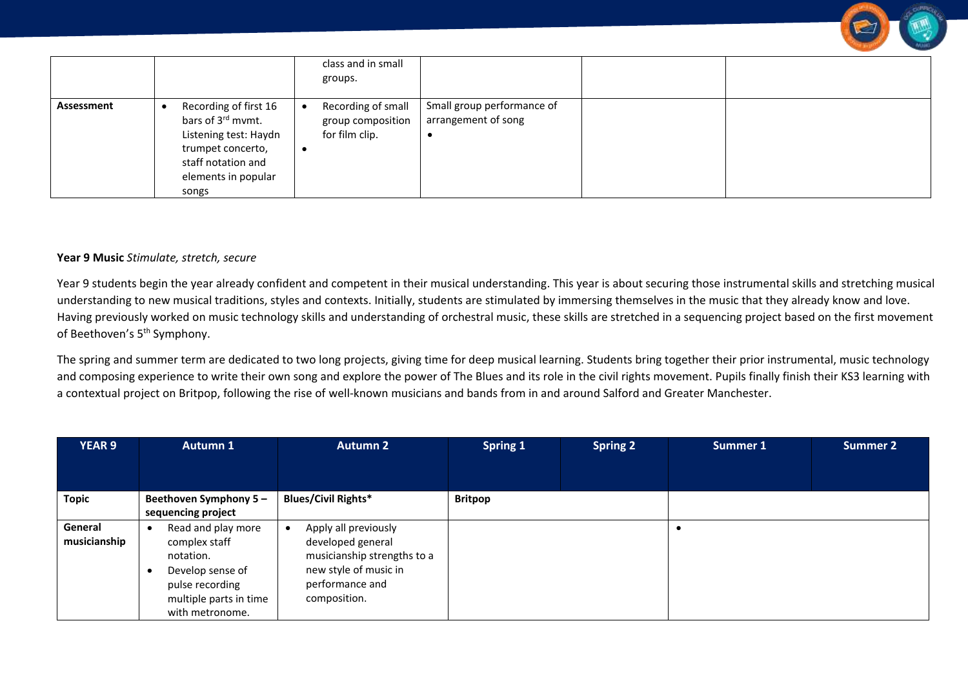

### **Year 9 Music** *Stimulate, stretch, secure*

Year 9 students begin the year already confident and competent in their musical understanding. This year is about securing those instrumental skills and stretching musical understanding to new musical traditions, styles and contexts. Initially, students are stimulated by immersing themselves in the music that they already know and love. Having previously worked on music technology skills and understanding of orchestral music, these skills are stretched in a sequencing project based on the first movement of Beethoven's 5<sup>th</sup> Symphony.

The spring and summer term are dedicated to two long projects, giving time for deep musical learning. Students bring together their prior instrumental, music technology and composing experience to write their own song and explore the power of The Blues and its role in the civil rights movement. Pupils finally finish their KS3 learning with a contextual project on Britpop, following the rise of well-known musicians and bands from in and around Salford and Greater Manchester.

| <b>YEAR 9</b>           | <b>Autumn 1</b>                                                                                                                      | <b>Autumn 2</b>                                                                                                                      | <b>Spring 1</b> | <b>Spring 2</b> | Summer 1 | <b>Summer 2</b> |
|-------------------------|--------------------------------------------------------------------------------------------------------------------------------------|--------------------------------------------------------------------------------------------------------------------------------------|-----------------|-----------------|----------|-----------------|
|                         |                                                                                                                                      |                                                                                                                                      |                 |                 |          |                 |
| <b>Topic</b>            | Beethoven Symphony 5-<br>sequencing project                                                                                          | <b>Blues/Civil Rights*</b>                                                                                                           | <b>Britpop</b>  |                 |          |                 |
| General<br>musicianship | Read and play more<br>complex staff<br>notation.<br>Develop sense of<br>pulse recording<br>multiple parts in time<br>with metronome. | Apply all previously<br>developed general<br>musicianship strengths to a<br>new style of music in<br>performance and<br>composition. |                 |                 |          |                 |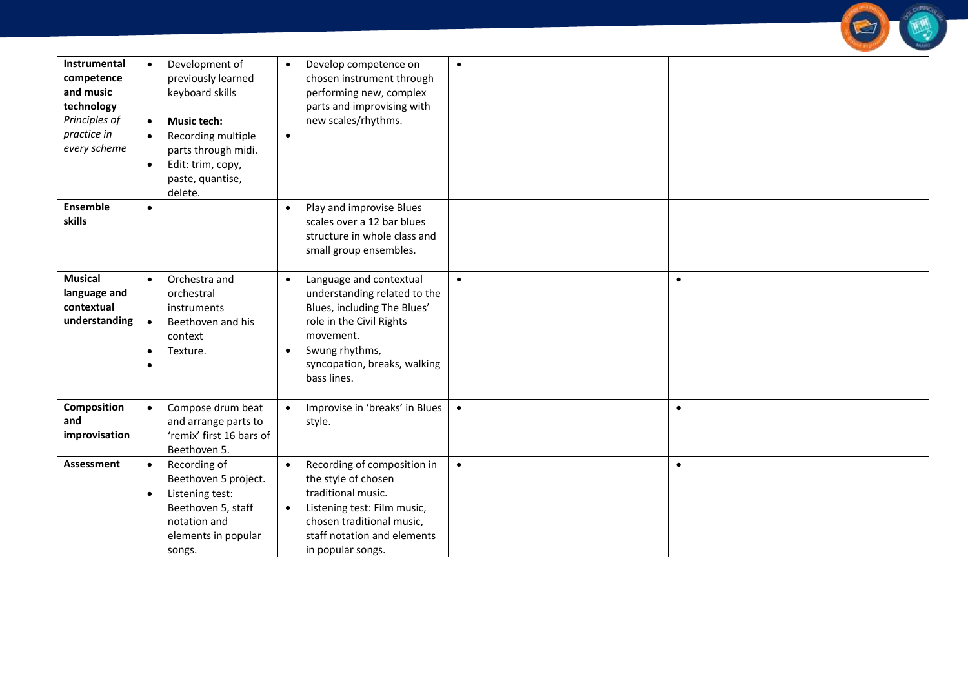| Instrumental<br>competence<br>and music<br>technology<br>Principles of<br>practice in<br>every scheme | Development of<br>$\bullet$<br>previously learned<br>keyboard skills<br><b>Music tech:</b><br>$\bullet$<br>Recording multiple<br>$\bullet$<br>parts through midi.<br>Edit: trim, copy,<br>$\bullet$<br>paste, quantise,<br>delete. | Develop competence on<br>$\bullet$<br>chosen instrument through<br>performing new, complex<br>parts and improvising with<br>new scales/rhythms.<br>$\bullet$                                                               | $\bullet$ |           |
|-------------------------------------------------------------------------------------------------------|------------------------------------------------------------------------------------------------------------------------------------------------------------------------------------------------------------------------------------|----------------------------------------------------------------------------------------------------------------------------------------------------------------------------------------------------------------------------|-----------|-----------|
| <b>Ensemble</b><br>skills                                                                             | $\bullet$                                                                                                                                                                                                                          | Play and improvise Blues<br>$\bullet$<br>scales over a 12 bar blues<br>structure in whole class and<br>small group ensembles.                                                                                              |           |           |
| <b>Musical</b><br>language and<br>contextual<br>understanding                                         | Orchestra and<br>$\bullet$<br>orchestral<br>instruments<br>Beethoven and his<br>$\bullet$<br>context<br>Texture.<br>$\bullet$                                                                                                      | Language and contextual<br>$\bullet$<br>understanding related to the<br>Blues, including The Blues'<br>role in the Civil Rights<br>movement.<br>Swung rhythms,<br>$\bullet$<br>syncopation, breaks, walking<br>bass lines. | $\bullet$ | $\bullet$ |
| Composition<br>and<br>improvisation                                                                   | Compose drum beat<br>$\bullet$<br>and arrange parts to<br>'remix' first 16 bars of<br>Beethoven 5.                                                                                                                                 | Improvise in 'breaks' in Blues<br>$\bullet$<br>style.                                                                                                                                                                      | $\bullet$ | $\bullet$ |
| Assessment                                                                                            | Recording of<br>$\bullet$<br>Beethoven 5 project.<br>Listening test:<br>$\bullet$<br>Beethoven 5, staff<br>notation and<br>elements in popular<br>songs.                                                                           | Recording of composition in<br>$\bullet$<br>the style of chosen<br>traditional music.<br>Listening test: Film music,<br>$\bullet$<br>chosen traditional music,<br>staff notation and elements<br>in popular songs.         | $\bullet$ | $\bullet$ |